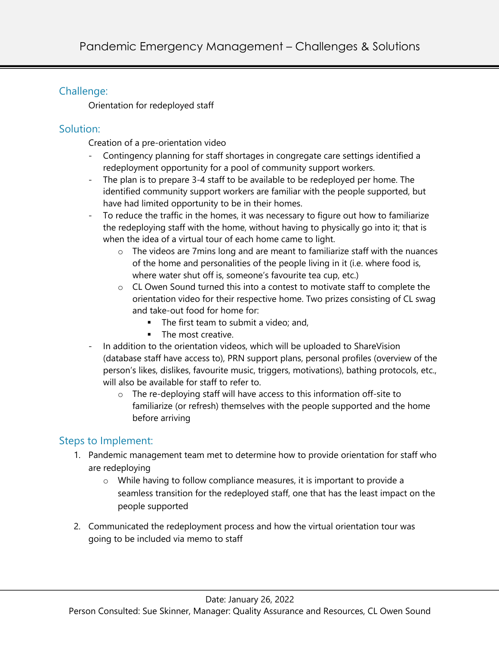# Challenge:

Orientation for redeployed staff

## Solution:

Creation of a pre-orientation video

- Contingency planning for staff shortages in congregate care settings identified a redeployment opportunity for a pool of community support workers.
- The plan is to prepare 3-4 staff to be available to be redeployed per home. The identified community support workers are familiar with the people supported, but have had limited opportunity to be in their homes.
- To reduce the traffic in the homes, it was necessary to figure out how to familiarize the redeploying staff with the home, without having to physically go into it; that is when the idea of a virtual tour of each home came to light.
	- o The videos are 7mins long and are meant to familiarize staff with the nuances of the home and personalities of the people living in it (i.e. where food is, where water shut off is, someone's favourite tea cup, etc.)
	- $\circ$  CL Owen Sound turned this into a contest to motivate staff to complete the orientation video for their respective home. Two prizes consisting of CL swag and take-out food for home for:
		- **•** The first team to submit a video; and,
		- **•** The most creative.
- In addition to the orientation videos, which will be uploaded to ShareVision (database staff have access to), PRN support plans, personal profiles (overview of the person's likes, dislikes, favourite music, triggers, motivations), bathing protocols, etc., will also be available for staff to refer to.
	- o The re-deploying staff will have access to this information off-site to familiarize (or refresh) themselves with the people supported and the home before arriving

# Steps to Implement:

- 1. Pandemic management team met to determine how to provide orientation for staff who are redeploying
	- o While having to follow compliance measures, it is important to provide a seamless transition for the redeployed staff, one that has the least impact on the people supported
- 2. Communicated the redeployment process and how the virtual orientation tour was going to be included via memo to staff